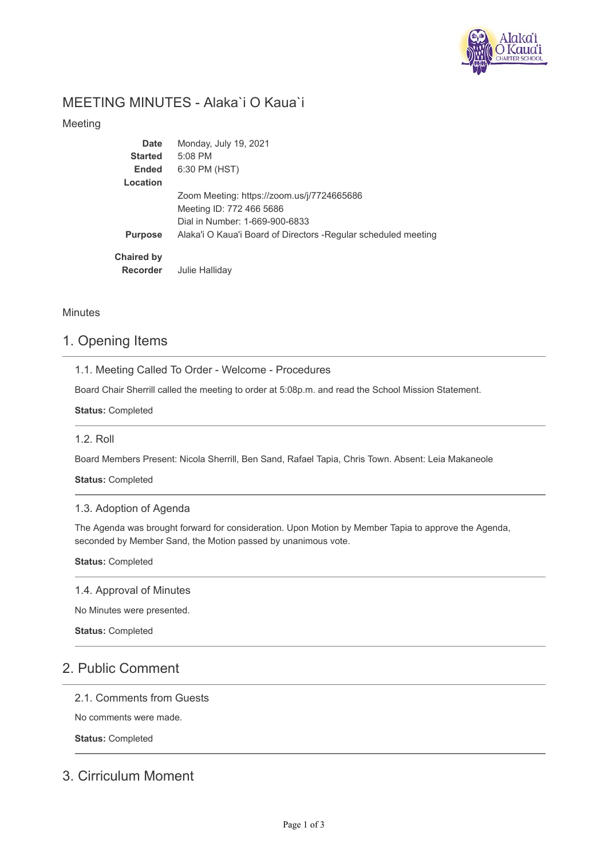

# MEETING MINUTES - Alaka`i O Kaua`i

## Meeting

| Date              | Monday, July 19, 2021                                           |
|-------------------|-----------------------------------------------------------------|
| <b>Started</b>    | $5:08$ PM                                                       |
| <b>Ended</b>      | 6:30 PM (HST)                                                   |
| Location          |                                                                 |
|                   | Zoom Meeting: https://zoom.us/j/7724665686                      |
|                   | Meeting ID: 772 466 5686                                        |
|                   | Dial in Number: 1-669-900-6833                                  |
| <b>Purpose</b>    | Alaka'i O Kaua'i Board of Directors - Regular scheduled meeting |
| <b>Chaired by</b> |                                                                 |
| <b>Recorder</b>   | Julie Halliday                                                  |

## **Minutes**

# 1. Opening Items

1.1. Meeting Called To Order - Welcome - Procedures

Board Chair Sherrill called the meeting to order at 5:08p.m. and read the School Mission Statement.

**Status:** Completed

## 1.2. Roll

Board Members Present: Nicola Sherrill, Ben Sand, Rafael Tapia, Chris Town. Absent: Leia Makaneole

**Status:** Completed

## 1.3. Adoption of Agenda

The Agenda was brought forward for consideration. Upon Motion by Member Tapia to approve the Agenda, seconded by Member Sand, the Motion passed by unanimous vote.

**Status:** Completed

1.4. Approval of Minutes

No Minutes were presented.

**Status:** Completed

# 2. Public Comment

### 2.1. Comments from Guests

No comments were made.

**Status:** Completed

# 3. Cirriculum Moment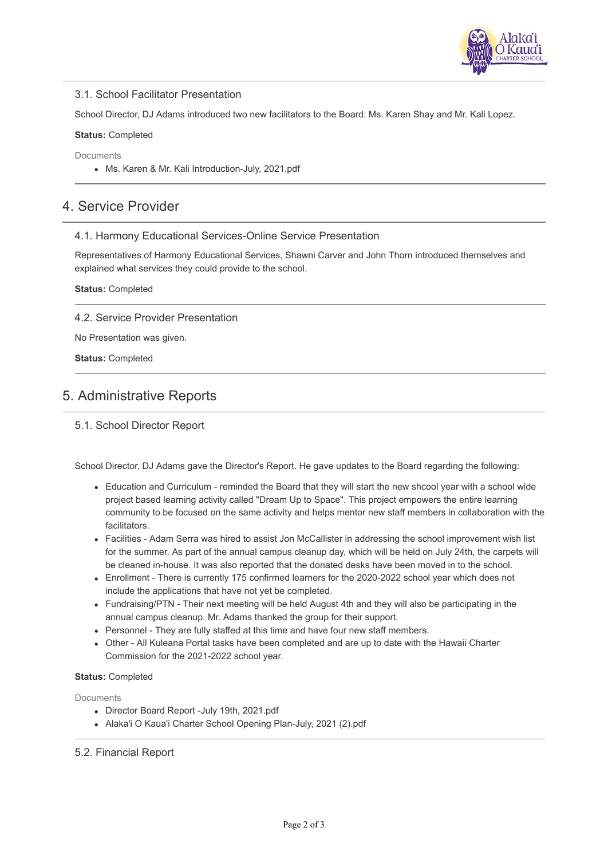

### 3.1. School Facilitator Presentation

School Director, DJ Adams introduced two new facilitators to the Board: Ms. Karen Shay and Mr. Kali Lopez.

#### **Status:** Completed

**Documents** 

Ms. Karen & Mr. Kali Introduction-July, 2021.pdf

## 4. Service Provider

### 4.1. Harmony Educational Services-Online Service Presentation

Representatives of Harmony Educational Services, Shawni Carver and John Thorn introduced themselves and explained what services they could provide to the school.

#### **Status:** Completed

4.2. Service Provider Presentation

No Presentation was given.

**Status:** Completed

# 5. Administrative Reports

5.1. School Director Report

School Director, DJ Adams gave the Director's Report. He gave updates to the Board regarding the following:

- Education and Curriculum reminded the Board that they will start the new shcool year with a school wide project based learning activity called "Dream Up to Space". This project empowers the entire learning community to be focused on the same activity and helps mentor new staff members in collaboration with the facilitators.
- Facilities Adam Serra was hired to assist Jon McCallister in addressing the school improvement wish list for the summer. As part of the annual campus cleanup day, which will be held on July 24th, the carpets will be cleaned in-house. It was also reported that the donated desks have been moved in to the school.
- Enrollment There is currently 175 confirmed learners for the 2020-2022 school year which does not include the applications that have not yet be completed.
- Fundraising/PTN Their next meeting will be held August 4th and they will also be participating in the annual campus cleanup. Mr. Adams thanked the group for their support.
- Personnel They are fully staffed at this time and have four new staff members.
- Other All Kuleana Portal tasks have been completed and are up to date with the Hawaii Charter Commission for the 2021-2022 school year.

### **Status:** Completed

Documents

- Director Board Report -July 19th, 2021.pdf
- Alaka'i O Kaua'i Charter School Opening Plan-July, 2021 (2).pdf

### 5.2. Financial Report